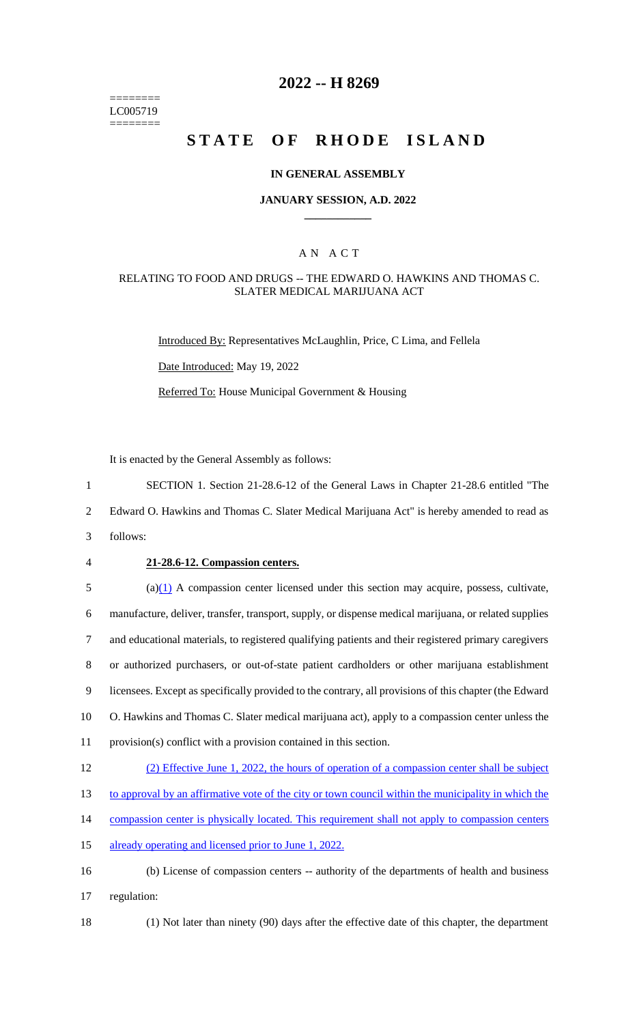======== LC005719 ========

## **2022 -- H 8269**

# **STATE OF RHODE ISLAND**

#### **IN GENERAL ASSEMBLY**

#### **JANUARY SESSION, A.D. 2022 \_\_\_\_\_\_\_\_\_\_\_\_**

## A N A C T

#### RELATING TO FOOD AND DRUGS -- THE EDWARD O. HAWKINS AND THOMAS C. SLATER MEDICAL MARIJUANA ACT

Introduced By: Representatives McLaughlin, Price, C Lima, and Fellela

Date Introduced: May 19, 2022

Referred To: House Municipal Government & Housing

It is enacted by the General Assembly as follows:

1 SECTION 1. Section 21-28.6-12 of the General Laws in Chapter 21-28.6 entitled "The

2 Edward O. Hawkins and Thomas C. Slater Medical Marijuana Act" is hereby amended to read as

- 3 follows:
- 

#### 4 **21-28.6-12. Compassion centers.**

 (a) $\frac{1}{2}$  A compassion center licensed under this section may acquire, possess, cultivate, manufacture, deliver, transfer, transport, supply, or dispense medical marijuana, or related supplies and educational materials, to registered qualifying patients and their registered primary caregivers or authorized purchasers, or out-of-state patient cardholders or other marijuana establishment licensees. Except as specifically provided to the contrary, all provisions of this chapter (the Edward O. Hawkins and Thomas C. Slater medical marijuana act), apply to a compassion center unless the provision(s) conflict with a provision contained in this section.

#### 12 (2) Effective June 1, 2022, the hours of operation of a compassion center shall be subject

13 to approval by an affirmative vote of the city or town council within the municipality in which the

- 14 compassion center is physically located. This requirement shall not apply to compassion centers
- 15 already operating and licensed prior to June 1, 2022.
- 16 (b) License of compassion centers -- authority of the departments of health and business 17 regulation:
- 

18 (1) Not later than ninety (90) days after the effective date of this chapter, the department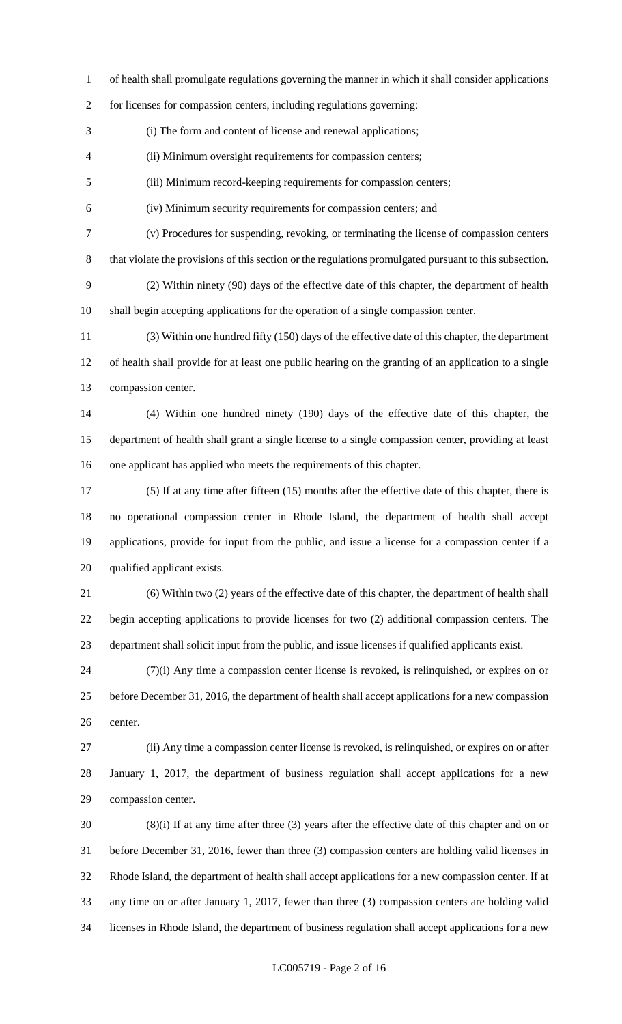of health shall promulgate regulations governing the manner in which it shall consider applications

for licenses for compassion centers, including regulations governing:

(i) The form and content of license and renewal applications;

(ii) Minimum oversight requirements for compassion centers;

(iii) Minimum record-keeping requirements for compassion centers;

(iv) Minimum security requirements for compassion centers; and

(v) Procedures for suspending, revoking, or terminating the license of compassion centers

that violate the provisions of this section or the regulations promulgated pursuant to this subsection.

 (2) Within ninety (90) days of the effective date of this chapter, the department of health shall begin accepting applications for the operation of a single compassion center.

 (3) Within one hundred fifty (150) days of the effective date of this chapter, the department of health shall provide for at least one public hearing on the granting of an application to a single compassion center.

 (4) Within one hundred ninety (190) days of the effective date of this chapter, the department of health shall grant a single license to a single compassion center, providing at least one applicant has applied who meets the requirements of this chapter.

 (5) If at any time after fifteen (15) months after the effective date of this chapter, there is no operational compassion center in Rhode Island, the department of health shall accept applications, provide for input from the public, and issue a license for a compassion center if a qualified applicant exists.

 (6) Within two (2) years of the effective date of this chapter, the department of health shall begin accepting applications to provide licenses for two (2) additional compassion centers. The department shall solicit input from the public, and issue licenses if qualified applicants exist.

 (7)(i) Any time a compassion center license is revoked, is relinquished, or expires on or before December 31, 2016, the department of health shall accept applications for a new compassion center.

 (ii) Any time a compassion center license is revoked, is relinquished, or expires on or after January 1, 2017, the department of business regulation shall accept applications for a new compassion center.

 (8)(i) If at any time after three (3) years after the effective date of this chapter and on or before December 31, 2016, fewer than three (3) compassion centers are holding valid licenses in Rhode Island, the department of health shall accept applications for a new compassion center. If at any time on or after January 1, 2017, fewer than three (3) compassion centers are holding valid licenses in Rhode Island, the department of business regulation shall accept applications for a new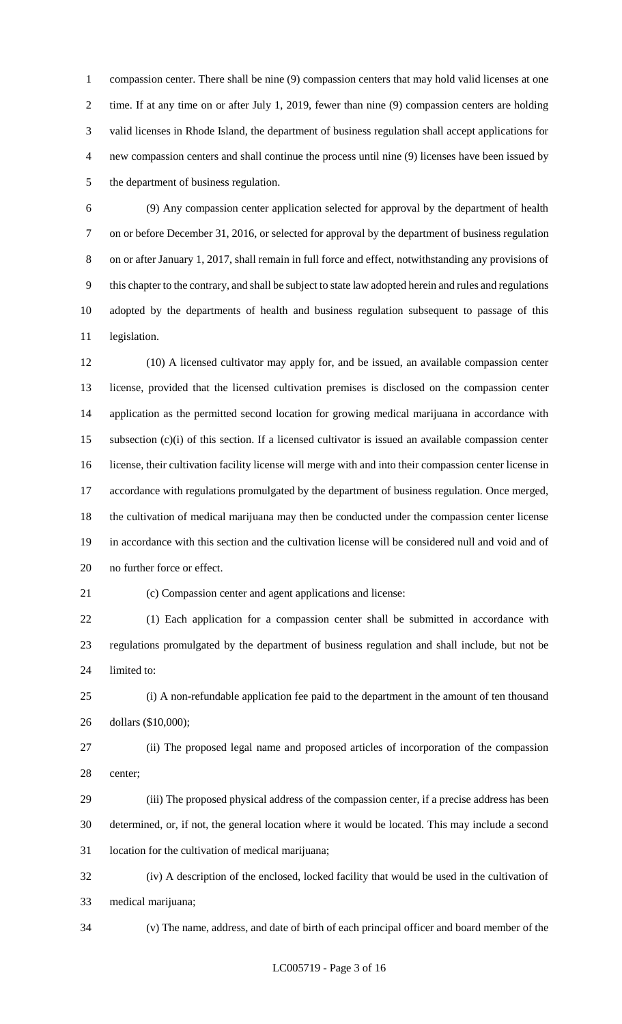compassion center. There shall be nine (9) compassion centers that may hold valid licenses at one time. If at any time on or after July 1, 2019, fewer than nine (9) compassion centers are holding valid licenses in Rhode Island, the department of business regulation shall accept applications for new compassion centers and shall continue the process until nine (9) licenses have been issued by the department of business regulation.

 (9) Any compassion center application selected for approval by the department of health on or before December 31, 2016, or selected for approval by the department of business regulation on or after January 1, 2017, shall remain in full force and effect, notwithstanding any provisions of this chapter to the contrary, and shall be subject to state law adopted herein and rules and regulations adopted by the departments of health and business regulation subsequent to passage of this legislation.

 (10) A licensed cultivator may apply for, and be issued, an available compassion center license, provided that the licensed cultivation premises is disclosed on the compassion center application as the permitted second location for growing medical marijuana in accordance with subsection (c)(i) of this section. If a licensed cultivator is issued an available compassion center license, their cultivation facility license will merge with and into their compassion center license in accordance with regulations promulgated by the department of business regulation. Once merged, the cultivation of medical marijuana may then be conducted under the compassion center license in accordance with this section and the cultivation license will be considered null and void and of no further force or effect.

(c) Compassion center and agent applications and license:

 (1) Each application for a compassion center shall be submitted in accordance with regulations promulgated by the department of business regulation and shall include, but not be limited to:

 (i) A non-refundable application fee paid to the department in the amount of ten thousand dollars (\$10,000);

 (ii) The proposed legal name and proposed articles of incorporation of the compassion center;

 (iii) The proposed physical address of the compassion center, if a precise address has been determined, or, if not, the general location where it would be located. This may include a second location for the cultivation of medical marijuana;

 (iv) A description of the enclosed, locked facility that would be used in the cultivation of medical marijuana;

(v) The name, address, and date of birth of each principal officer and board member of the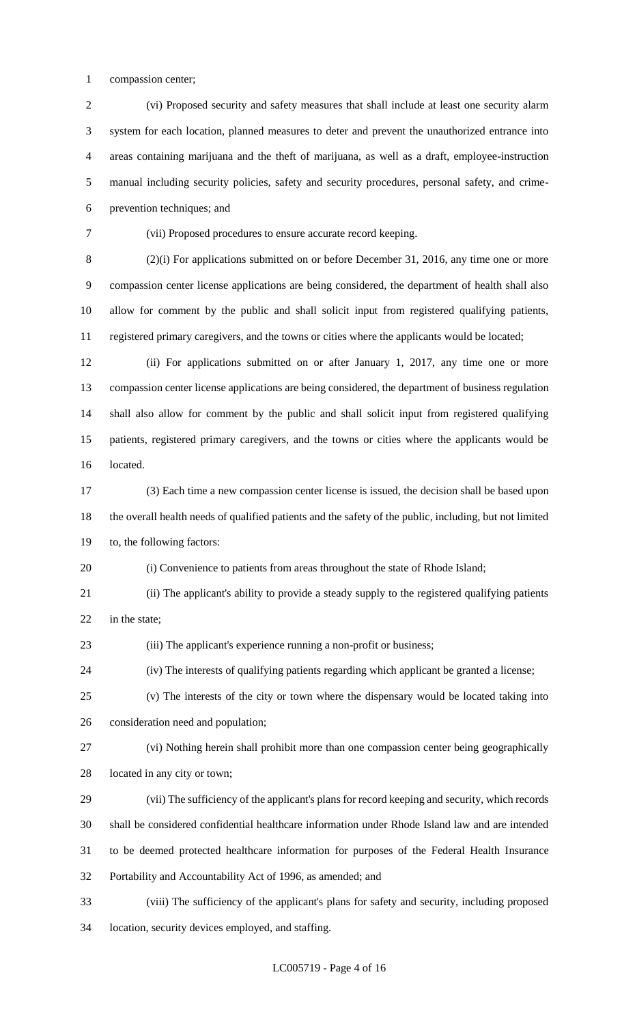compassion center;

 (vi) Proposed security and safety measures that shall include at least one security alarm system for each location, planned measures to deter and prevent the unauthorized entrance into areas containing marijuana and the theft of marijuana, as well as a draft, employee-instruction manual including security policies, safety and security procedures, personal safety, and crime-prevention techniques; and

(vii) Proposed procedures to ensure accurate record keeping.

 (2)(i) For applications submitted on or before December 31, 2016, any time one or more compassion center license applications are being considered, the department of health shall also allow for comment by the public and shall solicit input from registered qualifying patients, registered primary caregivers, and the towns or cities where the applicants would be located;

 (ii) For applications submitted on or after January 1, 2017, any time one or more compassion center license applications are being considered, the department of business regulation shall also allow for comment by the public and shall solicit input from registered qualifying patients, registered primary caregivers, and the towns or cities where the applicants would be located.

 (3) Each time a new compassion center license is issued, the decision shall be based upon the overall health needs of qualified patients and the safety of the public, including, but not limited to, the following factors:

(i) Convenience to patients from areas throughout the state of Rhode Island;

 (ii) The applicant's ability to provide a steady supply to the registered qualifying patients in the state;

(iii) The applicant's experience running a non-profit or business;

(iv) The interests of qualifying patients regarding which applicant be granted a license;

 (v) The interests of the city or town where the dispensary would be located taking into consideration need and population;

 (vi) Nothing herein shall prohibit more than one compassion center being geographically located in any city or town;

 (vii) The sufficiency of the applicant's plans for record keeping and security, which records shall be considered confidential healthcare information under Rhode Island law and are intended to be deemed protected healthcare information for purposes of the Federal Health Insurance Portability and Accountability Act of 1996, as amended; and

(viii) The sufficiency of the applicant's plans for safety and security, including proposed

location, security devices employed, and staffing.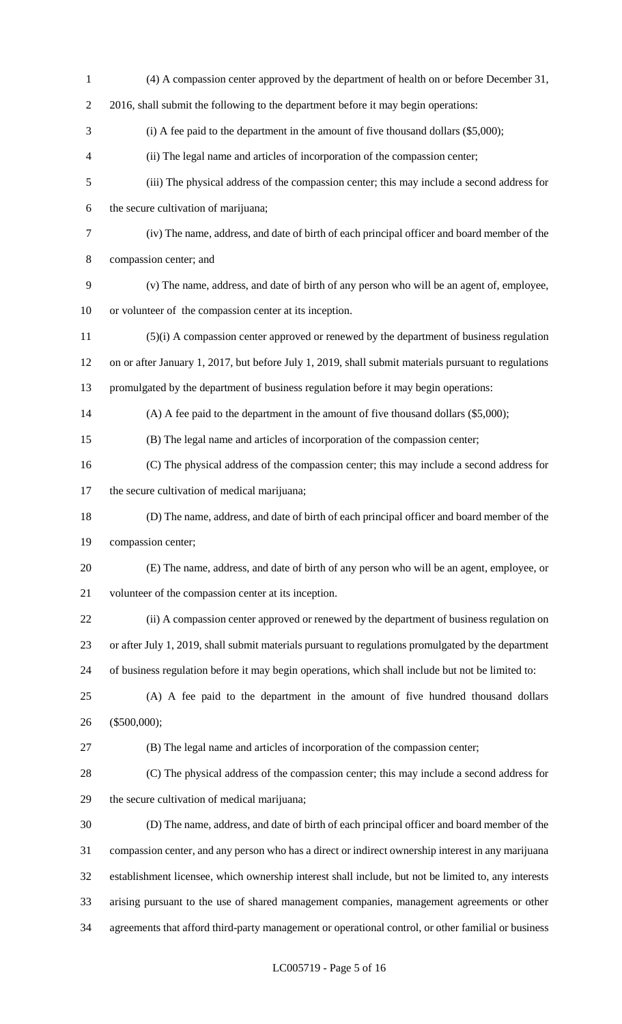| $\,1$          | (4) A compassion center approved by the department of health on or before December 31,               |
|----------------|------------------------------------------------------------------------------------------------------|
| $\sqrt{2}$     | 2016, shall submit the following to the department before it may begin operations:                   |
| $\mathfrak{Z}$ | (i) A fee paid to the department in the amount of five thousand dollars $(\$5,000)$ ;                |
| $\overline{4}$ | (ii) The legal name and articles of incorporation of the compassion center;                          |
| $\mathfrak{S}$ | (iii) The physical address of the compassion center; this may include a second address for           |
| 6              | the secure cultivation of marijuana;                                                                 |
| 7              | (iv) The name, address, and date of birth of each principal officer and board member of the          |
| $8\,$          | compassion center; and                                                                               |
| 9              | (v) The name, address, and date of birth of any person who will be an agent of, employee,            |
| 10             | or volunteer of the compassion center at its inception.                                              |
| 11             | (5)(i) A compassion center approved or renewed by the department of business regulation              |
| 12             | on or after January 1, 2017, but before July 1, 2019, shall submit materials pursuant to regulations |
| 13             | promulgated by the department of business regulation before it may begin operations:                 |
| 14             | (A) A fee paid to the department in the amount of five thousand dollars (\$5,000);                   |
| 15             | (B) The legal name and articles of incorporation of the compassion center;                           |
| 16             | (C) The physical address of the compassion center; this may include a second address for             |
| 17             | the secure cultivation of medical marijuana;                                                         |
| 18             | (D) The name, address, and date of birth of each principal officer and board member of the           |
| 19             | compassion center;                                                                                   |
| 20             | (E) The name, address, and date of birth of any person who will be an agent, employee, or            |
| 21             | volunteer of the compassion center at its inception.                                                 |
| 22             | (ii) A compassion center approved or renewed by the department of business regulation on             |
| 23             | or after July 1, 2019, shall submit materials pursuant to regulations promulgated by the department  |
| 24             | of business regulation before it may begin operations, which shall include but not be limited to:    |
| 25             | (A) A fee paid to the department in the amount of five hundred thousand dollars                      |
| 26             | $(\$500,000);$                                                                                       |
| 27             | (B) The legal name and articles of incorporation of the compassion center;                           |
| 28             | (C) The physical address of the compassion center; this may include a second address for             |
| 29             | the secure cultivation of medical marijuana;                                                         |
| 30             | (D) The name, address, and date of birth of each principal officer and board member of the           |
| 31             | compassion center, and any person who has a direct or indirect ownership interest in any marijuana   |
| 32             | establishment licensee, which ownership interest shall include, but not be limited to, any interests |
| 33             | arising pursuant to the use of shared management companies, management agreements or other           |
| 34             | agreements that afford third-party management or operational control, or other familial or business  |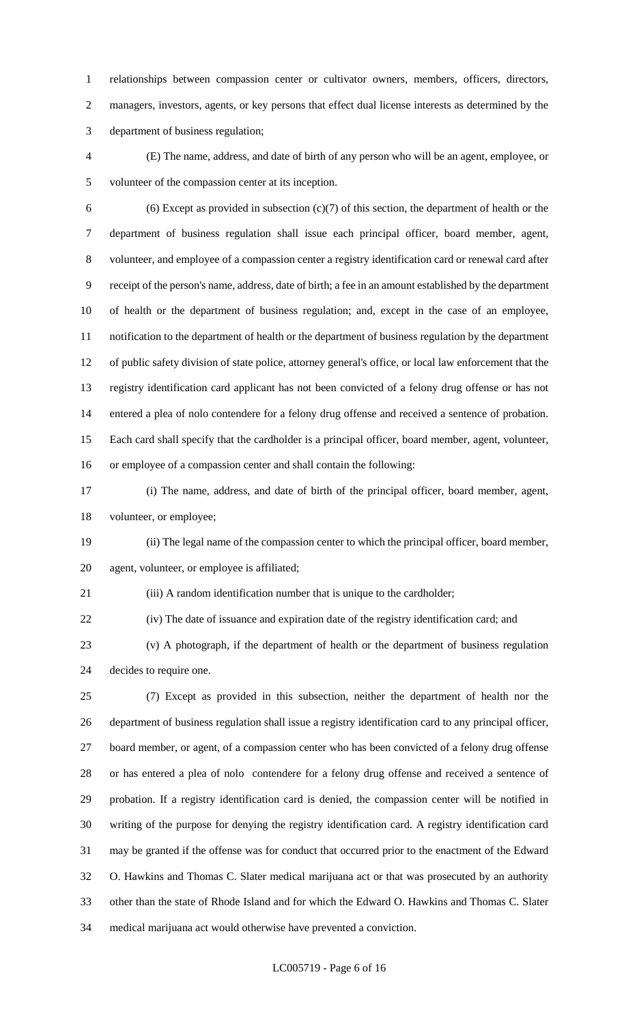relationships between compassion center or cultivator owners, members, officers, directors, managers, investors, agents, or key persons that effect dual license interests as determined by the department of business regulation;

 (E) The name, address, and date of birth of any person who will be an agent, employee, or volunteer of the compassion center at its inception.

6 (6) Except as provided in subsection  $(c)(7)$  of this section, the department of health or the department of business regulation shall issue each principal officer, board member, agent, volunteer, and employee of a compassion center a registry identification card or renewal card after receipt of the person's name, address, date of birth; a fee in an amount established by the department of health or the department of business regulation; and, except in the case of an employee, notification to the department of health or the department of business regulation by the department of public safety division of state police, attorney general's office, or local law enforcement that the registry identification card applicant has not been convicted of a felony drug offense or has not entered a plea of nolo contendere for a felony drug offense and received a sentence of probation. Each card shall specify that the cardholder is a principal officer, board member, agent, volunteer, or employee of a compassion center and shall contain the following:

 (i) The name, address, and date of birth of the principal officer, board member, agent, volunteer, or employee;

 (ii) The legal name of the compassion center to which the principal officer, board member, agent, volunteer, or employee is affiliated;

(iii) A random identification number that is unique to the cardholder;

(iv) The date of issuance and expiration date of the registry identification card; and

 (v) A photograph, if the department of health or the department of business regulation decides to require one.

 (7) Except as provided in this subsection, neither the department of health nor the department of business regulation shall issue a registry identification card to any principal officer, board member, or agent, of a compassion center who has been convicted of a felony drug offense or has entered a plea of nolo contendere for a felony drug offense and received a sentence of probation. If a registry identification card is denied, the compassion center will be notified in writing of the purpose for denying the registry identification card. A registry identification card may be granted if the offense was for conduct that occurred prior to the enactment of the Edward O. Hawkins and Thomas C. Slater medical marijuana act or that was prosecuted by an authority other than the state of Rhode Island and for which the Edward O. Hawkins and Thomas C. Slater medical marijuana act would otherwise have prevented a conviction.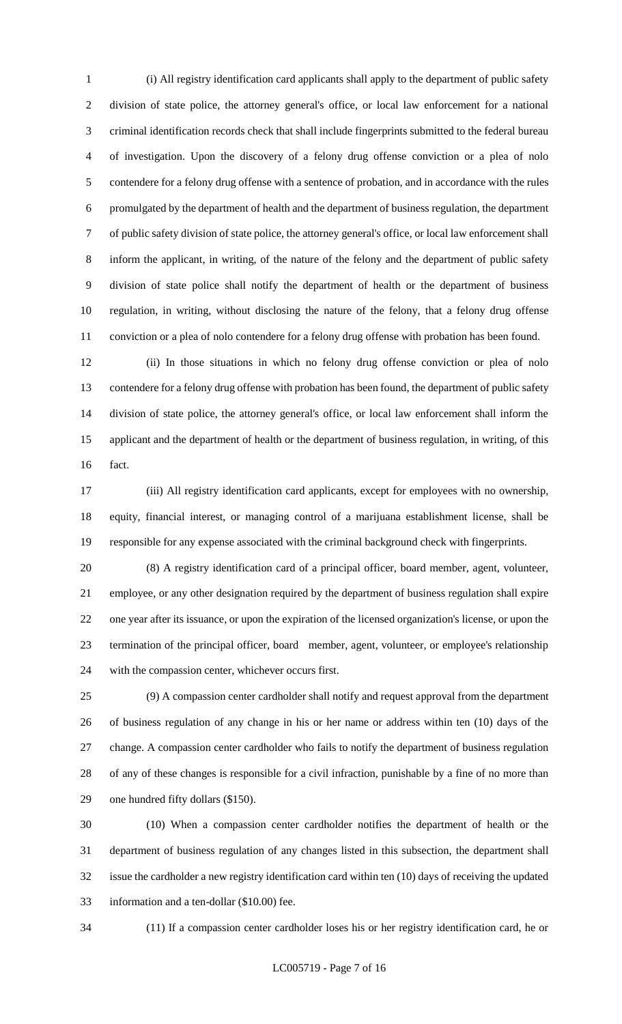(i) All registry identification card applicants shall apply to the department of public safety division of state police, the attorney general's office, or local law enforcement for a national criminal identification records check that shall include fingerprints submitted to the federal bureau of investigation. Upon the discovery of a felony drug offense conviction or a plea of nolo contendere for a felony drug offense with a sentence of probation, and in accordance with the rules promulgated by the department of health and the department of business regulation, the department of public safety division of state police, the attorney general's office, or local law enforcement shall inform the applicant, in writing, of the nature of the felony and the department of public safety division of state police shall notify the department of health or the department of business regulation, in writing, without disclosing the nature of the felony, that a felony drug offense conviction or a plea of nolo contendere for a felony drug offense with probation has been found.

 (ii) In those situations in which no felony drug offense conviction or plea of nolo contendere for a felony drug offense with probation has been found, the department of public safety division of state police, the attorney general's office, or local law enforcement shall inform the applicant and the department of health or the department of business regulation, in writing, of this fact.

 (iii) All registry identification card applicants, except for employees with no ownership, equity, financial interest, or managing control of a marijuana establishment license, shall be responsible for any expense associated with the criminal background check with fingerprints.

 (8) A registry identification card of a principal officer, board member, agent, volunteer, employee, or any other designation required by the department of business regulation shall expire one year after its issuance, or upon the expiration of the licensed organization's license, or upon the termination of the principal officer, board member, agent, volunteer, or employee's relationship with the compassion center, whichever occurs first.

 (9) A compassion center cardholder shall notify and request approval from the department of business regulation of any change in his or her name or address within ten (10) days of the change. A compassion center cardholder who fails to notify the department of business regulation of any of these changes is responsible for a civil infraction, punishable by a fine of no more than one hundred fifty dollars (\$150).

 (10) When a compassion center cardholder notifies the department of health or the department of business regulation of any changes listed in this subsection, the department shall issue the cardholder a new registry identification card within ten (10) days of receiving the updated information and a ten-dollar (\$10.00) fee.

(11) If a compassion center cardholder loses his or her registry identification card, he or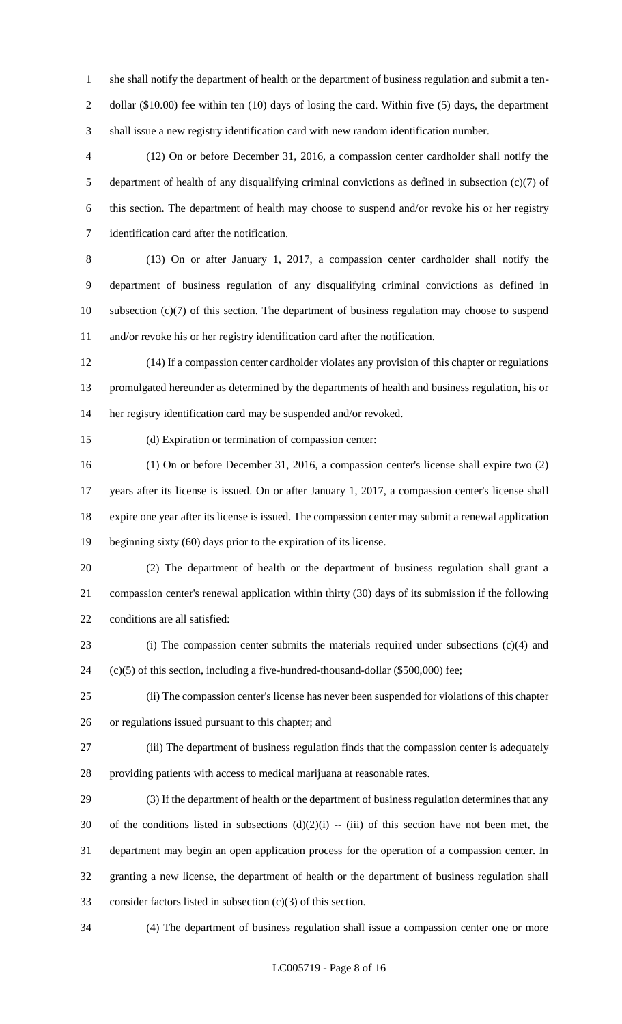she shall notify the department of health or the department of business regulation and submit a ten-2 dollar (\$10.00) fee within ten (10) days of losing the card. Within five (5) days, the department shall issue a new registry identification card with new random identification number.

 (12) On or before December 31, 2016, a compassion center cardholder shall notify the department of health of any disqualifying criminal convictions as defined in subsection (c)(7) of this section. The department of health may choose to suspend and/or revoke his or her registry identification card after the notification.

 (13) On or after January 1, 2017, a compassion center cardholder shall notify the department of business regulation of any disqualifying criminal convictions as defined in subsection (c)(7) of this section. The department of business regulation may choose to suspend and/or revoke his or her registry identification card after the notification.

 (14) If a compassion center cardholder violates any provision of this chapter or regulations promulgated hereunder as determined by the departments of health and business regulation, his or her registry identification card may be suspended and/or revoked.

(d) Expiration or termination of compassion center:

 (1) On or before December 31, 2016, a compassion center's license shall expire two (2) years after its license is issued. On or after January 1, 2017, a compassion center's license shall expire one year after its license is issued. The compassion center may submit a renewal application beginning sixty (60) days prior to the expiration of its license.

 (2) The department of health or the department of business regulation shall grant a compassion center's renewal application within thirty (30) days of its submission if the following conditions are all satisfied:

 (i) The compassion center submits the materials required under subsections (c)(4) and (c)(5) of this section, including a five-hundred-thousand-dollar (\$500,000) fee;

 (ii) The compassion center's license has never been suspended for violations of this chapter or regulations issued pursuant to this chapter; and

 (iii) The department of business regulation finds that the compassion center is adequately providing patients with access to medical marijuana at reasonable rates.

 (3) If the department of health or the department of business regulation determines that any 30 of the conditions listed in subsections  $(d)(2)(i)$  -- (iii) of this section have not been met, the department may begin an open application process for the operation of a compassion center. In granting a new license, the department of health or the department of business regulation shall consider factors listed in subsection (c)(3) of this section.

(4) The department of business regulation shall issue a compassion center one or more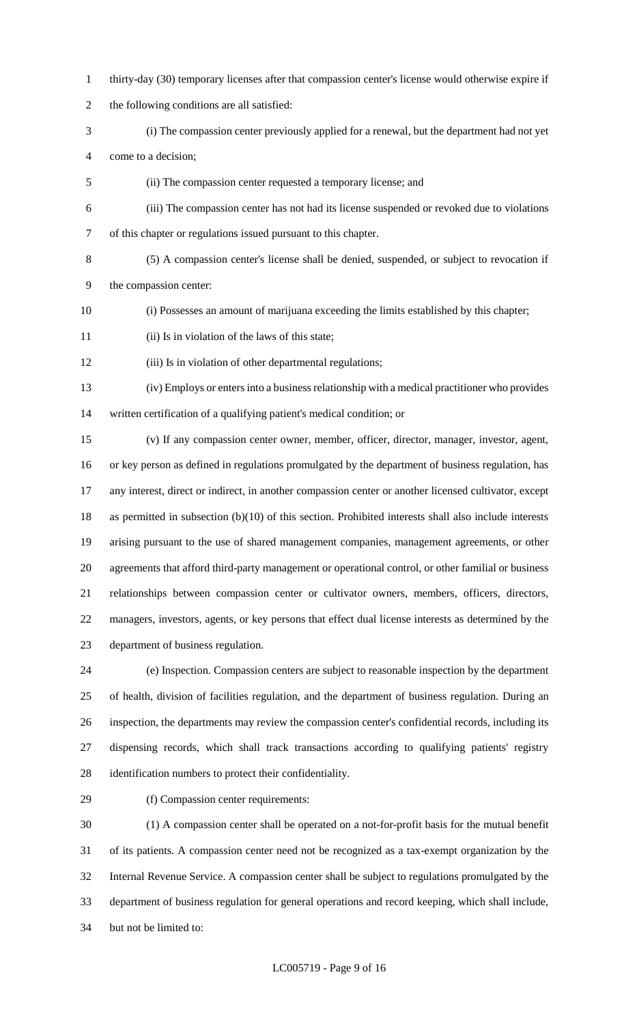- thirty-day (30) temporary licenses after that compassion center's license would otherwise expire if
- the following conditions are all satisfied:
- (i) The compassion center previously applied for a renewal, but the department had not yet come to a decision;
- (ii) The compassion center requested a temporary license; and
- (iii) The compassion center has not had its license suspended or revoked due to violations of this chapter or regulations issued pursuant to this chapter.
- 

 (5) A compassion center's license shall be denied, suspended, or subject to revocation if the compassion center:

- (i) Possesses an amount of marijuana exceeding the limits established by this chapter;
- (ii) Is in violation of the laws of this state;
- 12 (iii) Is in violation of other departmental regulations;

 (iv) Employs or enters into a business relationship with a medical practitioner who provides written certification of a qualifying patient's medical condition; or

 (v) If any compassion center owner, member, officer, director, manager, investor, agent, or key person as defined in regulations promulgated by the department of business regulation, has any interest, direct or indirect, in another compassion center or another licensed cultivator, except as permitted in subsection (b)(10) of this section. Prohibited interests shall also include interests arising pursuant to the use of shared management companies, management agreements, or other agreements that afford third-party management or operational control, or other familial or business relationships between compassion center or cultivator owners, members, officers, directors, managers, investors, agents, or key persons that effect dual license interests as determined by the department of business regulation.

 (e) Inspection. Compassion centers are subject to reasonable inspection by the department of health, division of facilities regulation, and the department of business regulation. During an inspection, the departments may review the compassion center's confidential records, including its dispensing records, which shall track transactions according to qualifying patients' registry identification numbers to protect their confidentiality.

(f) Compassion center requirements:

 (1) A compassion center shall be operated on a not-for-profit basis for the mutual benefit of its patients. A compassion center need not be recognized as a tax-exempt organization by the Internal Revenue Service. A compassion center shall be subject to regulations promulgated by the department of business regulation for general operations and record keeping, which shall include, but not be limited to: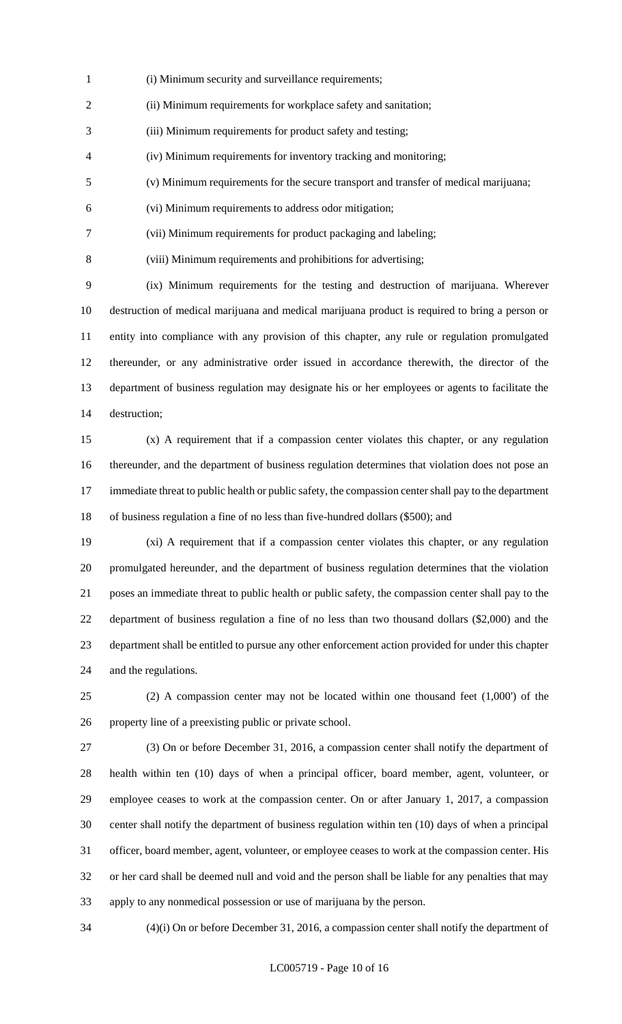- (i) Minimum security and surveillance requirements;
- (ii) Minimum requirements for workplace safety and sanitation;
- (iii) Minimum requirements for product safety and testing;
- (iv) Minimum requirements for inventory tracking and monitoring;
- (v) Minimum requirements for the secure transport and transfer of medical marijuana;
- (vi) Minimum requirements to address odor mitigation;
- (vii) Minimum requirements for product packaging and labeling;
- (viii) Minimum requirements and prohibitions for advertising;

 (ix) Minimum requirements for the testing and destruction of marijuana. Wherever destruction of medical marijuana and medical marijuana product is required to bring a person or entity into compliance with any provision of this chapter, any rule or regulation promulgated thereunder, or any administrative order issued in accordance therewith, the director of the department of business regulation may designate his or her employees or agents to facilitate the destruction;

 (x) A requirement that if a compassion center violates this chapter, or any regulation thereunder, and the department of business regulation determines that violation does not pose an 17 immediate threat to public health or public safety, the compassion center shall pay to the department of business regulation a fine of no less than five-hundred dollars (\$500); and

 (xi) A requirement that if a compassion center violates this chapter, or any regulation promulgated hereunder, and the department of business regulation determines that the violation poses an immediate threat to public health or public safety, the compassion center shall pay to the department of business regulation a fine of no less than two thousand dollars (\$2,000) and the department shall be entitled to pursue any other enforcement action provided for under this chapter and the regulations.

 (2) A compassion center may not be located within one thousand feet (1,000') of the property line of a preexisting public or private school.

 (3) On or before December 31, 2016, a compassion center shall notify the department of health within ten (10) days of when a principal officer, board member, agent, volunteer, or employee ceases to work at the compassion center. On or after January 1, 2017, a compassion center shall notify the department of business regulation within ten (10) days of when a principal officer, board member, agent, volunteer, or employee ceases to work at the compassion center. His or her card shall be deemed null and void and the person shall be liable for any penalties that may apply to any nonmedical possession or use of marijuana by the person.

(4)(i) On or before December 31, 2016, a compassion center shall notify the department of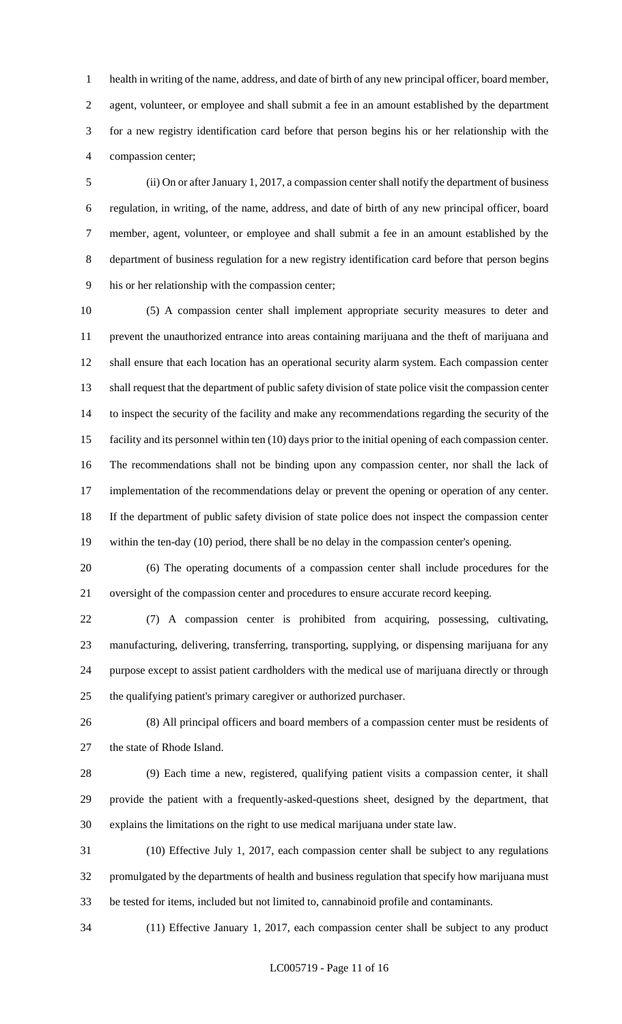health in writing of the name, address, and date of birth of any new principal officer, board member, agent, volunteer, or employee and shall submit a fee in an amount established by the department for a new registry identification card before that person begins his or her relationship with the compassion center;

 (ii) On or after January 1, 2017, a compassion center shall notify the department of business regulation, in writing, of the name, address, and date of birth of any new principal officer, board member, agent, volunteer, or employee and shall submit a fee in an amount established by the department of business regulation for a new registry identification card before that person begins his or her relationship with the compassion center;

 (5) A compassion center shall implement appropriate security measures to deter and prevent the unauthorized entrance into areas containing marijuana and the theft of marijuana and shall ensure that each location has an operational security alarm system. Each compassion center shall request that the department of public safety division of state police visit the compassion center to inspect the security of the facility and make any recommendations regarding the security of the facility and its personnel within ten (10) days prior to the initial opening of each compassion center. The recommendations shall not be binding upon any compassion center, nor shall the lack of 17 implementation of the recommendations delay or prevent the opening or operation of any center. If the department of public safety division of state police does not inspect the compassion center within the ten-day (10) period, there shall be no delay in the compassion center's opening.

 (6) The operating documents of a compassion center shall include procedures for the oversight of the compassion center and procedures to ensure accurate record keeping.

 (7) A compassion center is prohibited from acquiring, possessing, cultivating, manufacturing, delivering, transferring, transporting, supplying, or dispensing marijuana for any purpose except to assist patient cardholders with the medical use of marijuana directly or through the qualifying patient's primary caregiver or authorized purchaser.

 (8) All principal officers and board members of a compassion center must be residents of the state of Rhode Island.

 (9) Each time a new, registered, qualifying patient visits a compassion center, it shall provide the patient with a frequently-asked-questions sheet, designed by the department, that explains the limitations on the right to use medical marijuana under state law.

 (10) Effective July 1, 2017, each compassion center shall be subject to any regulations promulgated by the departments of health and business regulation that specify how marijuana must be tested for items, included but not limited to, cannabinoid profile and contaminants.

(11) Effective January 1, 2017, each compassion center shall be subject to any product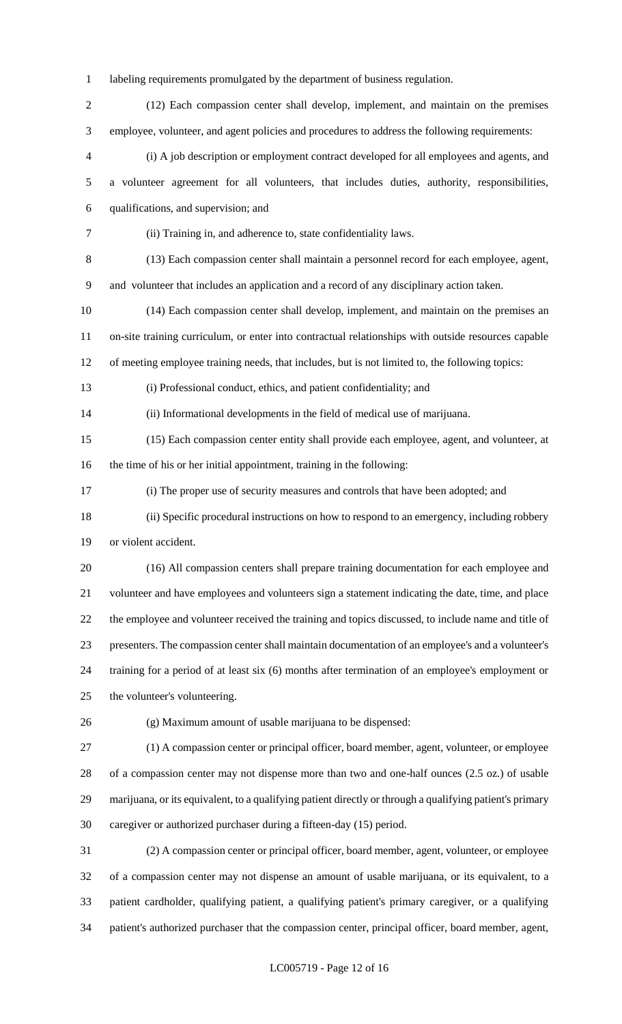labeling requirements promulgated by the department of business regulation.

 (12) Each compassion center shall develop, implement, and maintain on the premises employee, volunteer, and agent policies and procedures to address the following requirements:

 (i) A job description or employment contract developed for all employees and agents, and a volunteer agreement for all volunteers, that includes duties, authority, responsibilities, qualifications, and supervision; and

(ii) Training in, and adherence to, state confidentiality laws.

 (13) Each compassion center shall maintain a personnel record for each employee, agent, and volunteer that includes an application and a record of any disciplinary action taken.

 (14) Each compassion center shall develop, implement, and maintain on the premises an on-site training curriculum, or enter into contractual relationships with outside resources capable

of meeting employee training needs, that includes, but is not limited to, the following topics:

(i) Professional conduct, ethics, and patient confidentiality; and

(ii) Informational developments in the field of medical use of marijuana.

 (15) Each compassion center entity shall provide each employee, agent, and volunteer, at the time of his or her initial appointment, training in the following:

(i) The proper use of security measures and controls that have been adopted; and

(ii) Specific procedural instructions on how to respond to an emergency, including robbery

or violent accident.

 (16) All compassion centers shall prepare training documentation for each employee and volunteer and have employees and volunteers sign a statement indicating the date, time, and place the employee and volunteer received the training and topics discussed, to include name and title of presenters. The compassion center shall maintain documentation of an employee's and a volunteer's training for a period of at least six (6) months after termination of an employee's employment or the volunteer's volunteering.

(g) Maximum amount of usable marijuana to be dispensed:

 (1) A compassion center or principal officer, board member, agent, volunteer, or employee of a compassion center may not dispense more than two and one-half ounces (2.5 oz.) of usable marijuana, or its equivalent, to a qualifying patient directly or through a qualifying patient's primary caregiver or authorized purchaser during a fifteen-day (15) period.

 (2) A compassion center or principal officer, board member, agent, volunteer, or employee of a compassion center may not dispense an amount of usable marijuana, or its equivalent, to a patient cardholder, qualifying patient, a qualifying patient's primary caregiver, or a qualifying patient's authorized purchaser that the compassion center, principal officer, board member, agent,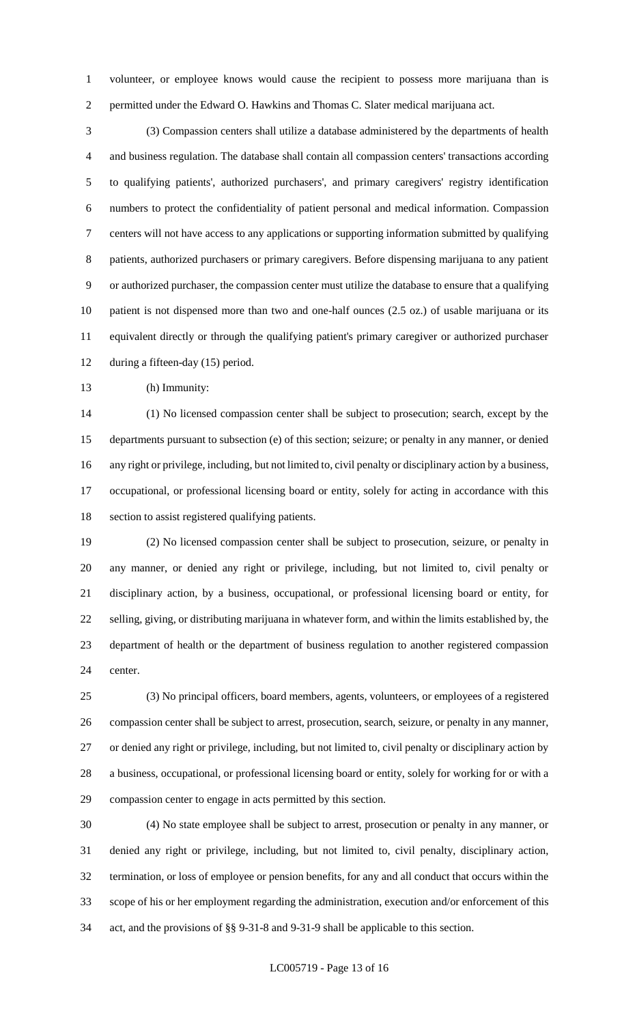volunteer, or employee knows would cause the recipient to possess more marijuana than is permitted under the Edward O. Hawkins and Thomas C. Slater medical marijuana act.

 (3) Compassion centers shall utilize a database administered by the departments of health and business regulation. The database shall contain all compassion centers' transactions according to qualifying patients', authorized purchasers', and primary caregivers' registry identification numbers to protect the confidentiality of patient personal and medical information. Compassion centers will not have access to any applications or supporting information submitted by qualifying patients, authorized purchasers or primary caregivers. Before dispensing marijuana to any patient or authorized purchaser, the compassion center must utilize the database to ensure that a qualifying patient is not dispensed more than two and one-half ounces (2.5 oz.) of usable marijuana or its equivalent directly or through the qualifying patient's primary caregiver or authorized purchaser during a fifteen-day (15) period.

(h) Immunity:

 (1) No licensed compassion center shall be subject to prosecution; search, except by the departments pursuant to subsection (e) of this section; seizure; or penalty in any manner, or denied any right or privilege, including, but not limited to, civil penalty or disciplinary action by a business, occupational, or professional licensing board or entity, solely for acting in accordance with this section to assist registered qualifying patients.

 (2) No licensed compassion center shall be subject to prosecution, seizure, or penalty in any manner, or denied any right or privilege, including, but not limited to, civil penalty or disciplinary action, by a business, occupational, or professional licensing board or entity, for selling, giving, or distributing marijuana in whatever form, and within the limits established by, the department of health or the department of business regulation to another registered compassion center.

 (3) No principal officers, board members, agents, volunteers, or employees of a registered compassion center shall be subject to arrest, prosecution, search, seizure, or penalty in any manner, or denied any right or privilege, including, but not limited to, civil penalty or disciplinary action by a business, occupational, or professional licensing board or entity, solely for working for or with a compassion center to engage in acts permitted by this section.

 (4) No state employee shall be subject to arrest, prosecution or penalty in any manner, or denied any right or privilege, including, but not limited to, civil penalty, disciplinary action, termination, or loss of employee or pension benefits, for any and all conduct that occurs within the scope of his or her employment regarding the administration, execution and/or enforcement of this act, and the provisions of §§ 9-31-8 and 9-31-9 shall be applicable to this section.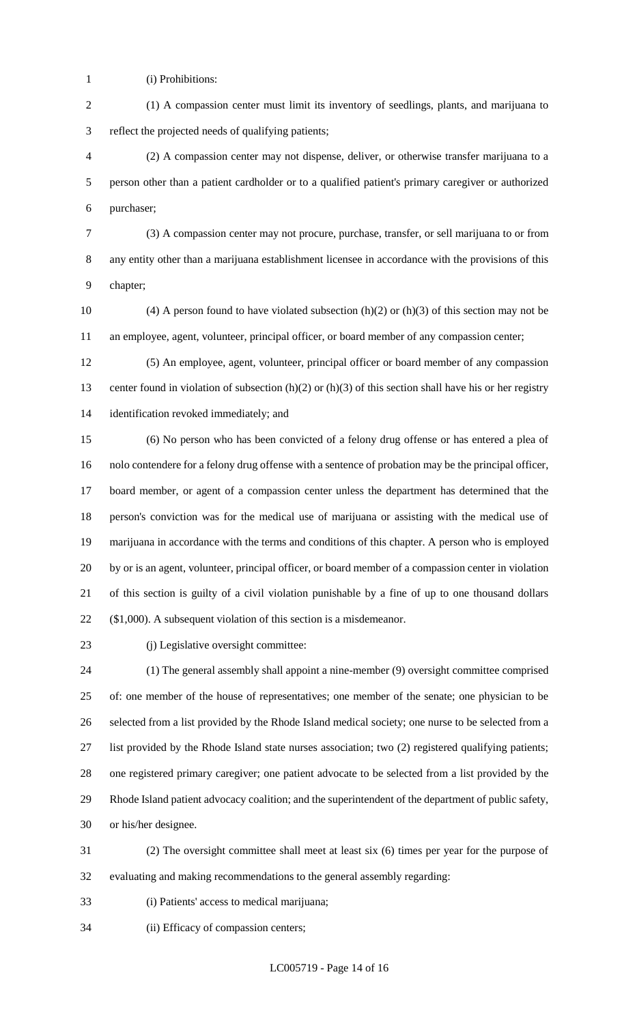- (i) Prohibitions:
- (1) A compassion center must limit its inventory of seedlings, plants, and marijuana to reflect the projected needs of qualifying patients;

 (2) A compassion center may not dispense, deliver, or otherwise transfer marijuana to a person other than a patient cardholder or to a qualified patient's primary caregiver or authorized purchaser;

- (3) A compassion center may not procure, purchase, transfer, or sell marijuana to or from any entity other than a marijuana establishment licensee in accordance with the provisions of this chapter;
- 10 (4) A person found to have violated subsection  $(h)(2)$  or  $(h)(3)$  of this section may not be an employee, agent, volunteer, principal officer, or board member of any compassion center;

 (5) An employee, agent, volunteer, principal officer or board member of any compassion 13 center found in violation of subsection (h)(2) or (h)(3) of this section shall have his or her registry identification revoked immediately; and

 (6) No person who has been convicted of a felony drug offense or has entered a plea of nolo contendere for a felony drug offense with a sentence of probation may be the principal officer, board member, or agent of a compassion center unless the department has determined that the person's conviction was for the medical use of marijuana or assisting with the medical use of marijuana in accordance with the terms and conditions of this chapter. A person who is employed by or is an agent, volunteer, principal officer, or board member of a compassion center in violation of this section is guilty of a civil violation punishable by a fine of up to one thousand dollars (\$1,000). A subsequent violation of this section is a misdemeanor.

23 (j) Legislative oversight committee:

 (1) The general assembly shall appoint a nine-member (9) oversight committee comprised of: one member of the house of representatives; one member of the senate; one physician to be selected from a list provided by the Rhode Island medical society; one nurse to be selected from a list provided by the Rhode Island state nurses association; two (2) registered qualifying patients; one registered primary caregiver; one patient advocate to be selected from a list provided by the Rhode Island patient advocacy coalition; and the superintendent of the department of public safety, or his/her designee.

 (2) The oversight committee shall meet at least six (6) times per year for the purpose of evaluating and making recommendations to the general assembly regarding:

- (i) Patients' access to medical marijuana;
- (ii) Efficacy of compassion centers;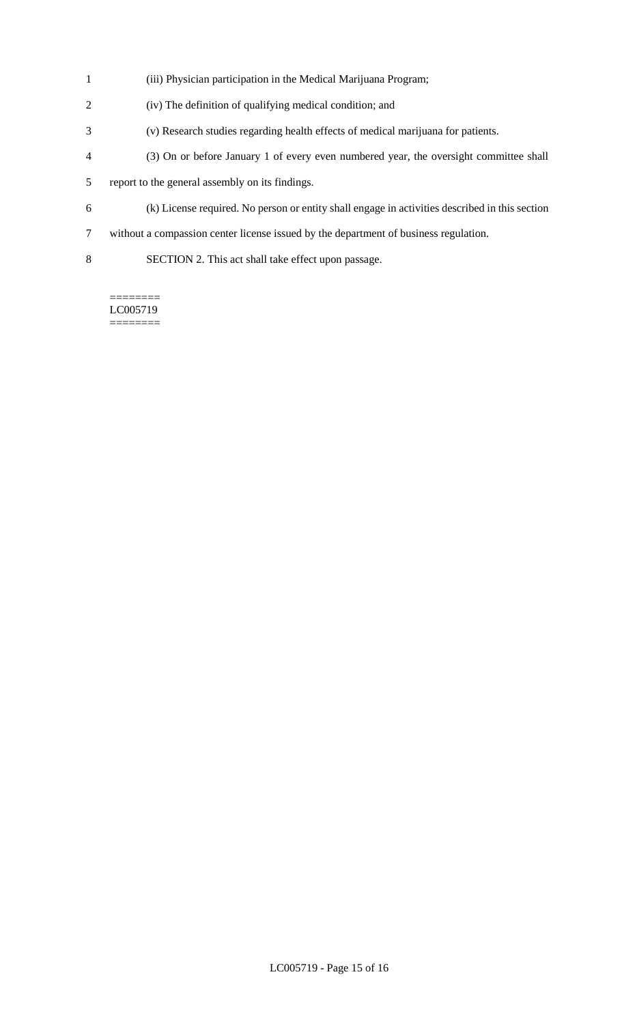- (iii) Physician participation in the Medical Marijuana Program;
- (iv) The definition of qualifying medical condition; and
- (v) Research studies regarding health effects of medical marijuana for patients.
- (3) On or before January 1 of every even numbered year, the oversight committee shall
- report to the general assembly on its findings.
- (k) License required. No person or entity shall engage in activities described in this section
- without a compassion center license issued by the department of business regulation.
- SECTION 2. This act shall take effect upon passage.

======== LC005719 ========